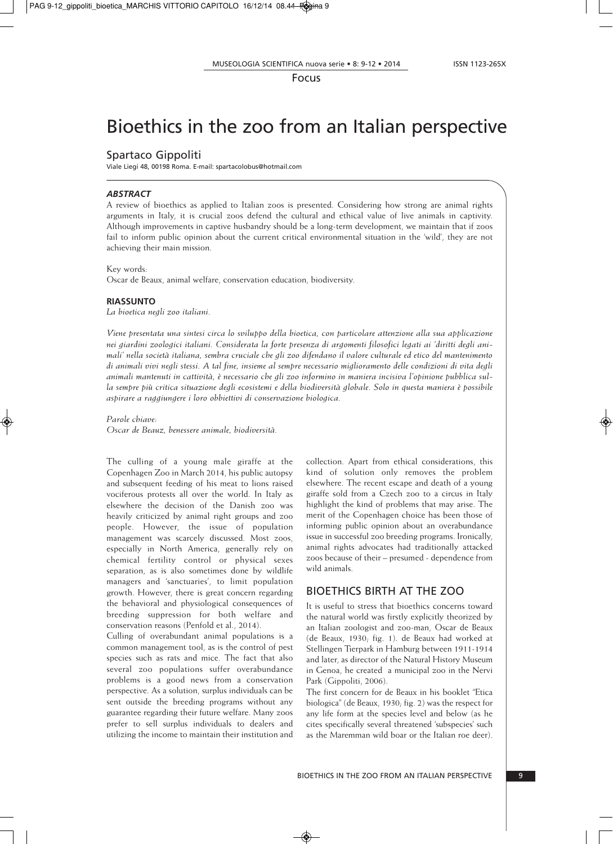Focus

# Bioethics in the zoo from an Italian perspective

## Spartaco Gippoliti

Viale Liegi 48, 00198 Roma. E-mail: spartacolobus@hotmail.com

#### *ABSTRACT*

A review of bioethics as applied to Italian zoos is presented. Considering how strong are animal rights arguments in Italy, it is crucial zoos defend the cultural and ethical value of live animals in captivity. Although improvements in captive husbandry should be a long-term development, we maintain that if zoos fail to inform public opinion about the current critical environmental situation in the 'wild', they are not achieving their main mission.

#### Key words:

Oscar de Beaux, animal welfare, conservation education, biodiversity.

### **RIASSUNTO**

*La bioetica negli zoo italiani.*

*Viene presentata una sintesi circa lo sviluppo della bioetica, con particolare attenzione alla sua applicazione* nei giardini zoologici italiani. Considerata la forte presenza di argomenti filosofici legati ai 'diritti degli animali' nella società italiana, sembra cruciale che gli zoo difendano il valore culturale ed etico del mantenimento di animali vivi negli stessi. A tal fine, insieme al sempre necessario miglioramento delle condizioni di vita degli *animali mantenuti in cattività, è necessario che gli zoo informino in maniera incisiva l'opinione pubblica sul*la sempre più critica situazione degli ecosistemi e della biodiversità globale. Solo in questa maniera è possibile *aspirare a raggiungere i loro obbiettivi di conservazione biologica.*

*Parole chiave: Oscar de Beauz, benessere animale, biodiversità.*

The culling of a young male giraffe at the Copenhagen Zoo in March 2014, his public autopsy and subsequent feeding of his meat to lions raised vociferous protests all over the world. In Italy as elsewhere the decision of the Danish zoo was heavily criticized by animal right groups and zoo people. However, the issue of population management was scarcely discussed. Most zoos, especially in North America, generally rely on chemical fertility control or physical sexes separation, as is also sometimes done by wildlife managers and 'sanctuaries', to limit population growth. However, there is great concern regarding the behavioral and physiological consequences of breeding suppression for both welfare and conservation reasons (Penfold et al., 2014).

Culling of overabundant animal populations is a common management tool, as is the control of pest species such as rats and mice. The fact that also several zoo populations suffer overabundance problems is a good news from a conservation perspective. As a solution, surplus individuals can be sent outside the breeding programs without any guarantee regarding their future welfare. Many zoos prefer to sell surplus individuals to dealers and utilizing the income to maintain their institution and

collection. Apart from ethical considerations, this kind of solution only removes the problem elsewhere. The recent escape and death of a young giraffe sold from a Czech zoo to a circus in Italy highlight the kind of problems that may arise. The merit of the Copenhagen choice has been those of informing public opinion about an overabundance issue in successful zoo breeding programs. Ironically, animal rights advocates had traditionally attacked zoos because of their – presumed - dependence from wild animals.

## BIOETHICS BIRTH AT THE ZOO

It is useful to stress that bioethics concerns toward the natural world was firstly explicitly theorized by an Italian zoologist and zoo-man, Oscar de Beaux (de Beaux, 1930; fig. 1). de Beaux had worked at Stellingen Tierpark in Hamburg between 1911-1914 and later, as director of the Natural History Museum in Genoa, he created a municipal zoo in the Nervi Park (Gippoliti, 2006).

The first concern for de Beaux in his booklet "Etica biologica" (de Beaux, 1930; fig. 2) was the respect for any life form at the species level and below (as he cites specifically several threatened 'subspecies' such as the Maremman wild boar or the Italian roe deer).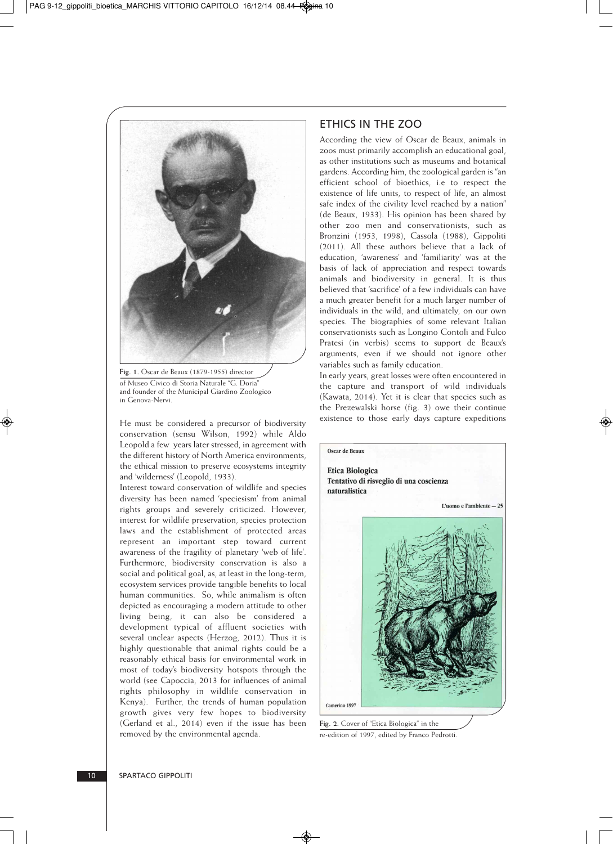

**Fig. 1.** Oscar de Beaux (1879-1955) director of Museo Civico di Storia Naturale "G. Doria" and founder of the Municipal Giardino Zoologico in Genova-Nervi.

He must be considered a precursor of biodiversity conservation (sensu Wilson, 1992) while Aldo Leopold a few years later stressed, in agreement with the different history of North America environments, the ethical mission to preserve ecosystems integrity and 'wilderness' (Leopold, 1933).

Interest toward conservation of wildlife and species diversity has been named 'speciesism' from animal rights groups and severely criticized. However, interest for wildlife preservation, species protection laws and the establishment of protected areas represent an important step toward current awareness of the fragility of planetary 'web of life'. Furthermore, biodiversity conservation is also a social and political goal, as, at least in the long-term, ecosystem services provide tangible benefits to local human communities. So, while animalism is often depicted as encouraging a modern attitude to other living being, it can also be considered a development typical of affluent societies with several unclear aspects (Herzog, 2012). Thus it is highly questionable that animal rights could be a reasonably ethical basis for environmental work in most of today's biodiversity hotspots through the world (see Capoccia, 2013 for influences of animal rights philosophy in wildlife conservation in Kenya). Further, the trends of human population growth gives very few hopes to biodiversity (Gerland et al., 2014) even if the issue has been removed by the environmental agenda.

# ETHICS IN THE ZOO

According the view of Oscar de Beaux, animals in zoos must primarily accomplish an educational goal, as other institutions such as museums and botanical gardens. According him, the zoological garden is "an efficient school of bioethics, i.e to respect the existence of life units, to respect of life, an almost safe index of the civility level reached by a nation" (de Beaux, 1933). His opinion has been shared by other zoo men and conservationists, such as Bronzini (1953, 1998), Cassola (1988), Gippoliti (2011). All these authors believe that a lack of education, 'awareness' and 'familiarity' was at the basis of lack of appreciation and respect towards animals and biodiversity in general. It is thus believed that 'sacrifice' of a few individuals can have a much greater benefit for a much larger number of individuals in the wild, and ultimately, on our own species. The biographies of some relevant Italian conservationists such as Longino Contoli and Fulco Pratesi (in verbis) seems to support de Beaux's arguments, even if we should not ignore other variables such as family education.

In early years, great losses were often encountered in the capture and transport of wild individuals (Kawata, 2014). Yet it is clear that species such as the Prezewalski horse (fig. 3) owe their continue existence to those early days capture expeditions



**Fig. 2.** Cover of "Etica Biologica" in the re-edition of 1997, edited by Franco Pedrotti.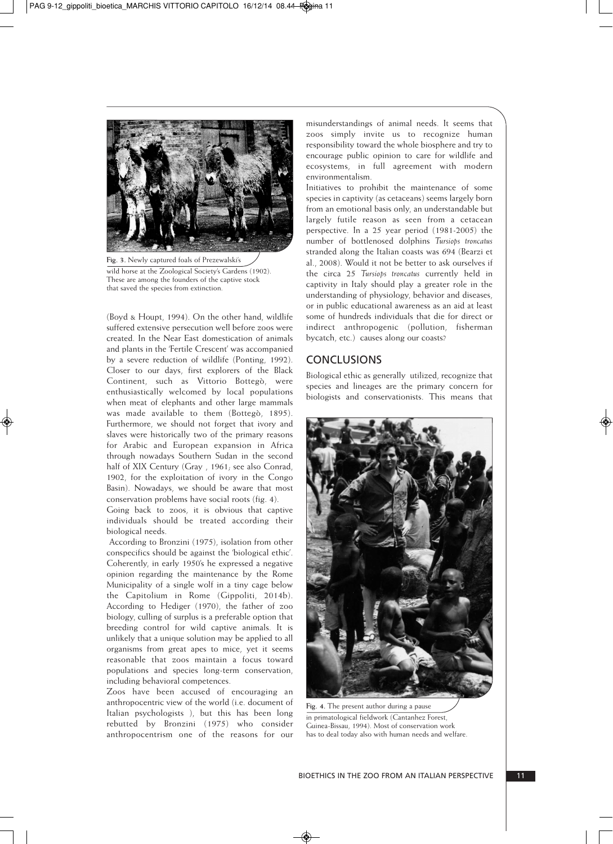

**Fig. 3.** Newly captured foals of Prezewalski's wild horse at the Zoological Society's Gardens (1902). These are among the founders of the captive stock that saved the species from extinction.

(Boyd & Houpt, 1994). On the other hand, wildlife suffered extensive persecution well before zoos were created. In the Near East domestication of animals and plants in the 'Fertile Crescent' was accompanied by a severe reduction of wildlife (Ponting, 1992). Closer to our days, first explorers of the Black Continent, such as Vittorio Bottegò, were enthusiastically welcomed by local populations when meat of elephants and other large mammals was made available to them (Bottegò, 1895). Furthermore, we should not forget that ivory and slaves were historically two of the primary reasons for Arabic and European expansion in Africa through nowadays Southern Sudan in the second half of XIX Century (Gray, 1961; see also Conrad, 1902, for the exploitation of ivory in the Congo Basin). Nowadays, we should be aware that most conservation problems have social roots (fig. 4).

Going back to zoos, it is obvious that captive individuals should be treated according their biological needs.

According to Bronzini (1975), isolation from other conspecifics should be against the 'biological ethic'. Coherently, in early 1950's he expressed a negative opinion regarding the maintenance by the Rome Municipality of a single wolf in a tiny cage below the Capitolium in Rome (Gippoliti, 2014b). According to Hediger (1970), the father of zoo biology, culling of surplus is a preferable option that breeding control for wild captive animals. It is unlikely that a unique solution may be applied to all organisms from great apes to mice, yet it seems reasonable that zoos maintain a focus toward populations and species long-term conservation, including behavioral competences.

Zoos have been accused of encouraging an anthropocentric view of the world (i.e. document of Italian psychologists ), but this has been long rebutted by Bronzini (1975) who consider anthropocentrism one of the reasons for our

misunderstandings of animal needs. It seems that zoos simply invite us to recognize human responsibility toward the whole biosphere and try to encourage public opinion to care for wildlife and ecosystems, in full agreement with modern environmentalism.

Initiatives to prohibit the maintenance of some species in captivity (as cetaceans) seems largely born from an emotional basis only, an understandable but largely futile reason as seen from a cetacean perspective. In a 25 year period (1981-2005) the number of bottlenosed dolphins *Tursiops troncatus* stranded along the Italian coasts was 694 (Bearzi et al., 2008). Would it not be better to ask ourselves if the circa 25 *Tursiops troncatus* currently held in captivity in Italy should play a greater role in the understanding of physiology, behavior and diseases, or in public educational awareness as an aid at least some of hundreds individuals that die for direct or indirect anthropogenic (pollution, fisherman bycatch, etc.) causes along our coasts?

## **CONCLUSIONS**

Biological ethic as generally utilized, recognize that species and lineages are the primary concern for biologists and conservationists. This means that



**Fig. 4.** The present author during a pause in primatological fieldwork (Cantanhez Forest, Guinea-Bissau, 1994). Most of conservation work has to deal today also with human needs and welfare.